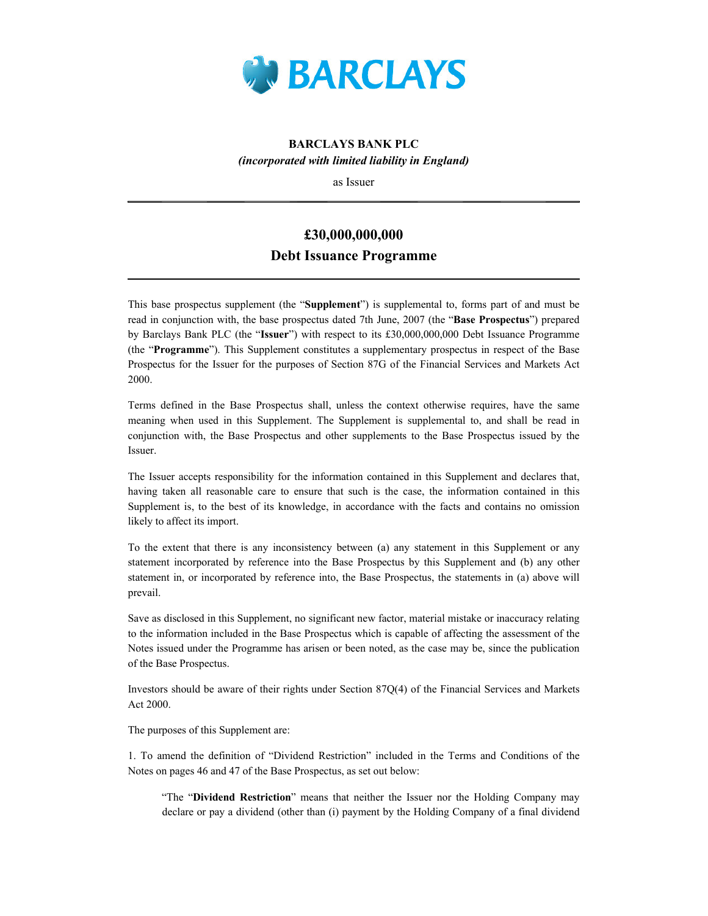

# BARCLAYS BANK PLC (incorporated with limited liability in England)

as Issuer

# £30,000,000,000 Debt Issuance Programme

This base prospectus supplement (the "Supplement") is supplemental to, forms part of and must be read in conjunction with, the base prospectus dated 7th June, 2007 (the "Base Prospectus") prepared by Barclays Bank PLC (the "Issuer") with respect to its £30,000,000,000 Debt Issuance Programme (the "Programme"). This Supplement constitutes a supplementary prospectus in respect of the Base Prospectus for the Issuer for the purposes of Section 87G of the Financial Services and Markets Act 2000.

Terms defined in the Base Prospectus shall, unless the context otherwise requires, have the same meaning when used in this Supplement. The Supplement is supplemental to, and shall be read in conjunction with, the Base Prospectus and other supplements to the Base Prospectus issued by the Issuer.

The Issuer accepts responsibility for the information contained in this Supplement and declares that, having taken all reasonable care to ensure that such is the case, the information contained in this Supplement is, to the best of its knowledge, in accordance with the facts and contains no omission likely to affect its import.

To the extent that there is any inconsistency between (a) any statement in this Supplement or any statement incorporated by reference into the Base Prospectus by this Supplement and (b) any other statement in, or incorporated by reference into, the Base Prospectus, the statements in (a) above will prevail.

Save as disclosed in this Supplement, no significant new factor, material mistake or inaccuracy relating to the information included in the Base Prospectus which is capable of affecting the assessment of the Notes issued under the Programme has arisen or been noted, as the case may be, since the publication of the Base Prospectus.

Investors should be aware of their rights under Section 87Q(4) of the Financial Services and Markets Act 2000.

The purposes of this Supplement are:

1. To amend the definition of "Dividend Restriction" included in the Terms and Conditions of the Notes on pages 46 and 47 of the Base Prospectus, as set out below:

"The "Dividend Restriction" means that neither the Issuer nor the Holding Company may declare or pay a dividend (other than (i) payment by the Holding Company of a final dividend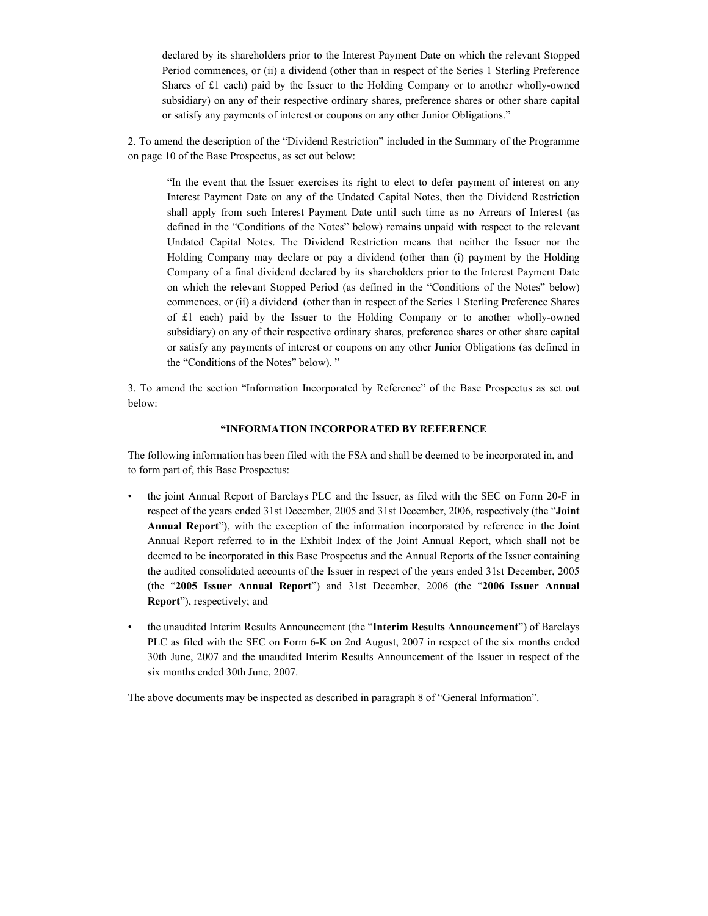declared by its shareholders prior to the Interest Payment Date on which the relevant Stopped Period commences, or (ii) a dividend (other than in respect of the Series 1 Sterling Preference Shares of £1 each) paid by the Issuer to the Holding Company or to another wholly-owned subsidiary) on any of their respective ordinary shares, preference shares or other share capital or satisfy any payments of interest or coupons on any other Junior Obligations."

2. To amend the description of the "Dividend Restriction" included in the Summary of the Programme on page 10 of the Base Prospectus, as set out below:

"In the event that the Issuer exercises its right to elect to defer payment of interest on any Interest Payment Date on any of the Undated Capital Notes, then the Dividend Restriction shall apply from such Interest Payment Date until such time as no Arrears of Interest (as defined in the "Conditions of the Notes" below) remains unpaid with respect to the relevant Undated Capital Notes. The Dividend Restriction means that neither the Issuer nor the Holding Company may declare or pay a dividend (other than (i) payment by the Holding Company of a final dividend declared by its shareholders prior to the Interest Payment Date on which the relevant Stopped Period (as defined in the "Conditions of the Notes" below) commences, or (ii) a dividend (other than in respect of the Series 1 Sterling Preference Shares of £1 each) paid by the Issuer to the Holding Company or to another wholly-owned subsidiary) on any of their respective ordinary shares, preference shares or other share capital or satisfy any payments of interest or coupons on any other Junior Obligations (as defined in the "Conditions of the Notes" below). "

3. To amend the section "Information Incorporated by Reference" of the Base Prospectus as set out below:

## "INFORMATION INCORPORATED BY REFERENCE

The following information has been filed with the FSA and shall be deemed to be incorporated in, and to form part of, this Base Prospectus:

- the joint Annual Report of Barclays PLC and the Issuer, as filed with the SEC on Form 20-F in respect of the years ended 31st December, 2005 and 31st December, 2006, respectively (the "Joint Annual Report"), with the exception of the information incorporated by reference in the Joint Annual Report referred to in the Exhibit Index of the Joint Annual Report, which shall not be deemed to be incorporated in this Base Prospectus and the Annual Reports of the Issuer containing the audited consolidated accounts of the Issuer in respect of the years ended 31st December, 2005 (the "2005 Issuer Annual Report") and 31st December, 2006 (the "2006 Issuer Annual Report"), respectively; and
- the unaudited Interim Results Announcement (the "Interim Results Announcement") of Barclays PLC as filed with the SEC on Form 6-K on 2nd August, 2007 in respect of the six months ended 30th June, 2007 and the unaudited Interim Results Announcement of the Issuer in respect of the six months ended 30th June, 2007.

The above documents may be inspected as described in paragraph 8 of "General Information".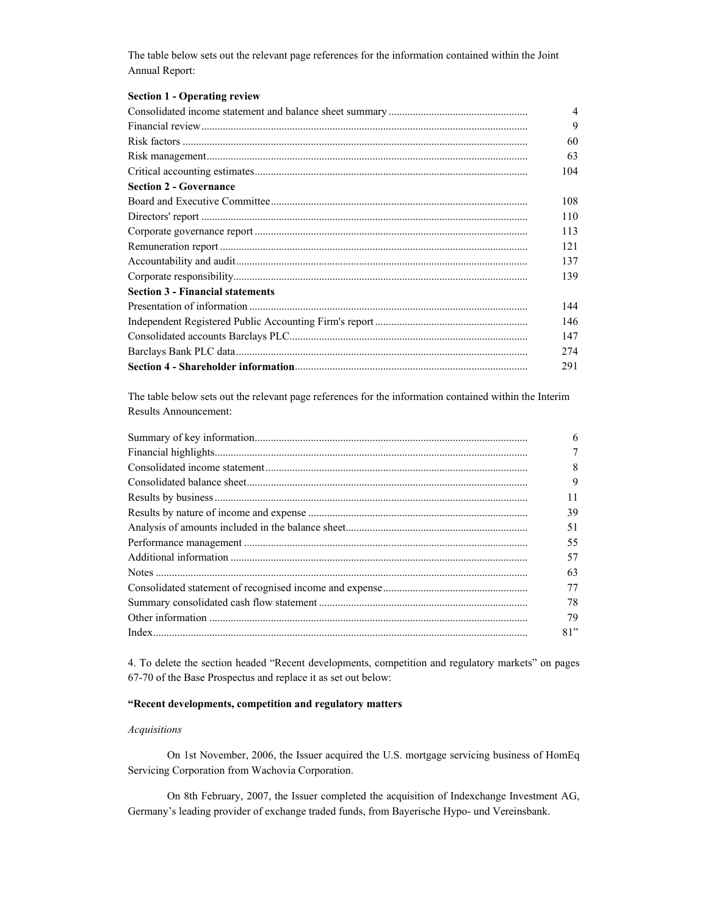The table below sets out the relevant page references for the information contained within the Joint Annual Report:

# Section 1 - Operating review

|                                         | $\overline{4}$ |
|-----------------------------------------|----------------|
|                                         | 9              |
|                                         | 60             |
|                                         | 63             |
|                                         | 104            |
| <b>Section 2 - Governance</b>           |                |
|                                         | 108            |
|                                         | 110            |
|                                         | 113            |
|                                         | 121            |
|                                         | 137            |
|                                         | 139            |
| <b>Section 3 - Financial statements</b> |                |
|                                         | 144            |
|                                         | 146            |
|                                         | 147            |
|                                         | 274            |
|                                         | 291            |

The table below sets out the relevant page references for the information contained within the Interim Results Announcement:

| 6   |
|-----|
|     |
| 8   |
| 9   |
| 11  |
| 39  |
| 51  |
| 55  |
| 57  |
| 63  |
| 77  |
| 78  |
| 79  |
| 81" |

4. To delete the section headed "Recent developments, competition and regulatory markets" on pages 67-70 of the Base Prospectus and replace it as set out below:

# "Recent developments, competition and regulatory matters

## Acquisitions

On 1st November, 2006, the Issuer acquired the U.S. mortgage servicing business of HomEq Servicing Corporation from Wachovia Corporation.

On 8th February, 2007, the Issuer completed the acquisition of Indexchange Investment AG, Germany's leading provider of exchange traded funds, from Bayerische Hypo- und Vereinsbank.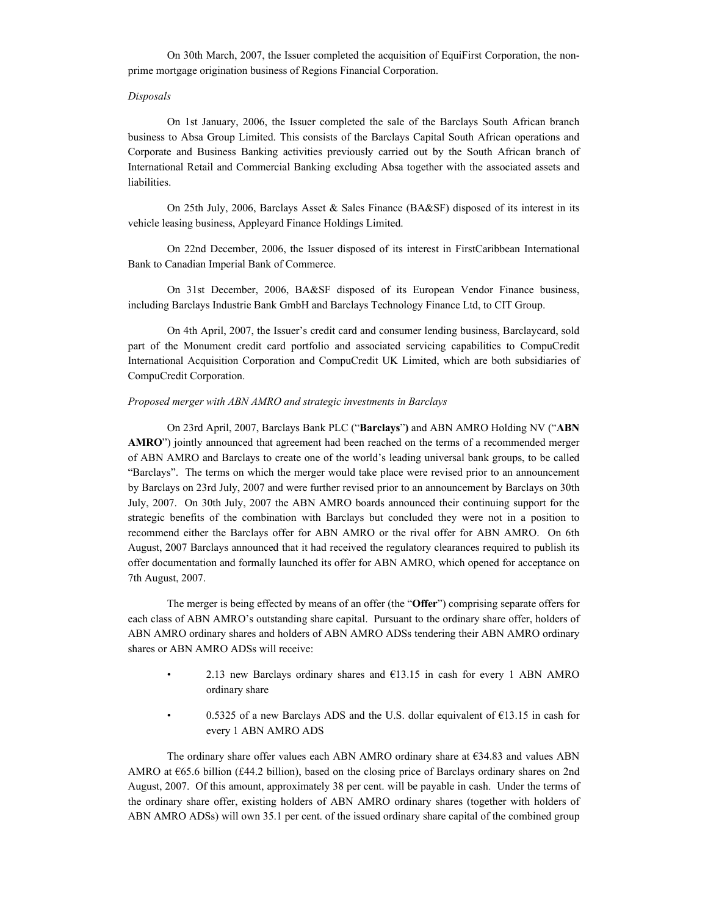On 30th March, 2007, the Issuer completed the acquisition of EquiFirst Corporation, the nonprime mortgage origination business of Regions Financial Corporation.

#### Disposals

On 1st January, 2006, the Issuer completed the sale of the Barclays South African branch business to Absa Group Limited. This consists of the Barclays Capital South African operations and Corporate and Business Banking activities previously carried out by the South African branch of International Retail and Commercial Banking excluding Absa together with the associated assets and liabilities.

On 25th July, 2006, Barclays Asset & Sales Finance (BA&SF) disposed of its interest in its vehicle leasing business, Appleyard Finance Holdings Limited.

On 22nd December, 2006, the Issuer disposed of its interest in FirstCaribbean International Bank to Canadian Imperial Bank of Commerce.

On 31st December, 2006, BA&SF disposed of its European Vendor Finance business, including Barclays Industrie Bank GmbH and Barclays Technology Finance Ltd, to CIT Group.

On 4th April, 2007, the Issuer's credit card and consumer lending business, Barclaycard, sold part of the Monument credit card portfolio and associated servicing capabilities to CompuCredit International Acquisition Corporation and CompuCredit UK Limited, which are both subsidiaries of CompuCredit Corporation.

#### Proposed merger with ABN AMRO and strategic investments in Barclays

On 23rd April, 2007, Barclays Bank PLC ("Barclays") and ABN AMRO Holding NV ("ABN AMRO") jointly announced that agreement had been reached on the terms of a recommended merger of ABN AMRO and Barclays to create one of the world's leading universal bank groups, to be called "Barclays". The terms on which the merger would take place were revised prior to an announcement by Barclays on 23rd July, 2007 and were further revised prior to an announcement by Barclays on 30th July, 2007. On 30th July, 2007 the ABN AMRO boards announced their continuing support for the strategic benefits of the combination with Barclays but concluded they were not in a position to recommend either the Barclays offer for ABN AMRO or the rival offer for ABN AMRO. On 6th August, 2007 Barclays announced that it had received the regulatory clearances required to publish its offer documentation and formally launched its offer for ABN AMRO, which opened for acceptance on 7th August, 2007.

The merger is being effected by means of an offer (the "Offer") comprising separate offers for each class of ABN AMRO's outstanding share capital. Pursuant to the ordinary share offer, holders of ABN AMRO ordinary shares and holders of ABN AMRO ADSs tendering their ABN AMRO ordinary shares or ABN AMRO ADSs will receive:

- 2.13 new Barclays ordinary shares and  $E13.15$  in cash for every 1 ABN AMRO ordinary share
- 0.5325 of a new Barclays ADS and the U.S. dollar equivalent of €13.15 in cash for every 1 ABN AMRO ADS

The ordinary share offer values each ABN AMRO ordinary share at  $E34.83$  and values ABN AMRO at €65.6 billion (£44.2 billion), based on the closing price of Barclays ordinary shares on 2nd August, 2007. Of this amount, approximately 38 per cent. will be payable in cash. Under the terms of the ordinary share offer, existing holders of ABN AMRO ordinary shares (together with holders of ABN AMRO ADSs) will own 35.1 per cent. of the issued ordinary share capital of the combined group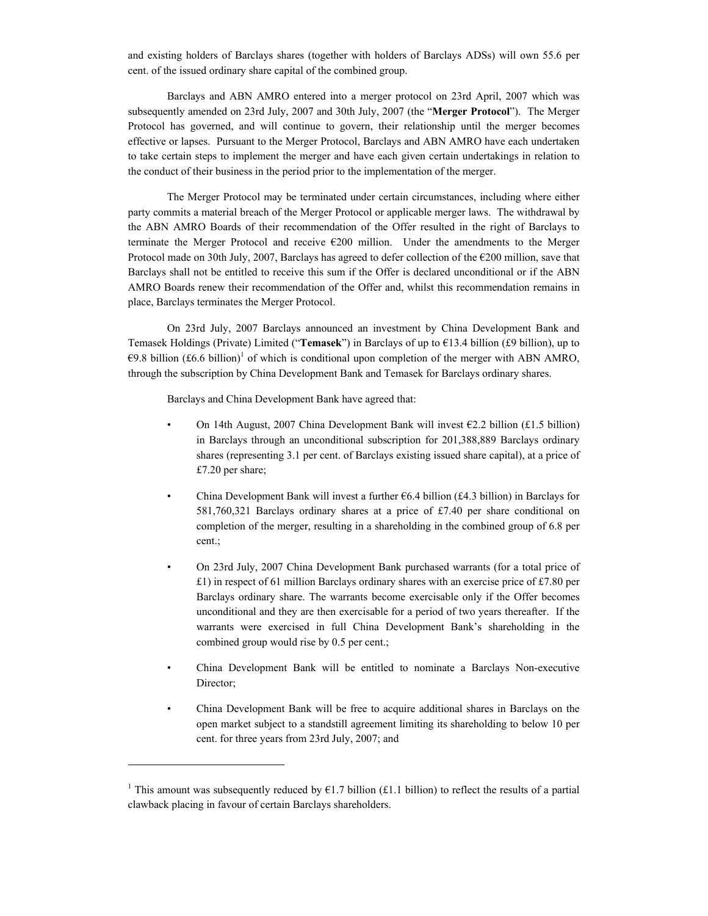and existing holders of Barclays shares (together with holders of Barclays ADSs) will own 55.6 per cent. of the issued ordinary share capital of the combined group.

Barclays and ABN AMRO entered into a merger protocol on 23rd April, 2007 which was subsequently amended on 23rd July, 2007 and 30th July, 2007 (the "Merger Protocol"). The Merger Protocol has governed, and will continue to govern, their relationship until the merger becomes effective or lapses. Pursuant to the Merger Protocol, Barclays and ABN AMRO have each undertaken to take certain steps to implement the merger and have each given certain undertakings in relation to the conduct of their business in the period prior to the implementation of the merger.

The Merger Protocol may be terminated under certain circumstances, including where either party commits a material breach of the Merger Protocol or applicable merger laws. The withdrawal by the ABN AMRO Boards of their recommendation of the Offer resulted in the right of Barclays to terminate the Merger Protocol and receive €200 million. Under the amendments to the Merger Protocol made on 30th July, 2007, Barclays has agreed to defer collection of the €200 million, save that Barclays shall not be entitled to receive this sum if the Offer is declared unconditional or if the ABN AMRO Boards renew their recommendation of the Offer and, whilst this recommendation remains in place, Barclays terminates the Merger Protocol.

On 23rd July, 2007 Barclays announced an investment by China Development Bank and Temasek Holdings (Private) Limited ("Temasek") in Barclays of up to  $E$ 13.4 billion (£9 billion), up to €9.8 billion (£6.6 billion)<sup>1</sup> of which is conditional upon completion of the merger with ABN AMRO, through the subscription by China Development Bank and Temasek for Barclays ordinary shares.

Barclays and China Development Bank have agreed that:

- On 14th August, 2007 China Development Bank will invest €2.2 billion (£1.5 billion) in Barclays through an unconditional subscription for 201,388,889 Barclays ordinary shares (representing 3.1 per cent. of Barclays existing issued share capital), at a price of £7.20 per share;
- China Development Bank will invest a further  $66.4$  billion (£4.3 billion) in Barclays for 581,760,321 Barclays ordinary shares at a price of £7.40 per share conditional on completion of the merger, resulting in a shareholding in the combined group of 6.8 per cent.;
- On 23rd July, 2007 China Development Bank purchased warrants (for a total price of £1) in respect of 61 million Barclays ordinary shares with an exercise price of £7.80 per Barclays ordinary share. The warrants become exercisable only if the Offer becomes unconditional and they are then exercisable for a period of two years thereafter. If the warrants were exercised in full China Development Bank's shareholding in the combined group would rise by 0.5 per cent.;
- China Development Bank will be entitled to nominate a Barclays Non-executive Director;
- China Development Bank will be free to acquire additional shares in Barclays on the open market subject to a standstill agreement limiting its shareholding to below 10 per cent. for three years from 23rd July, 2007; and

 $\overline{a}$ 

<sup>&</sup>lt;sup>1</sup> This amount was subsequently reduced by  $\epsilon$ 1.7 billion (£1.1 billion) to reflect the results of a partial clawback placing in favour of certain Barclays shareholders.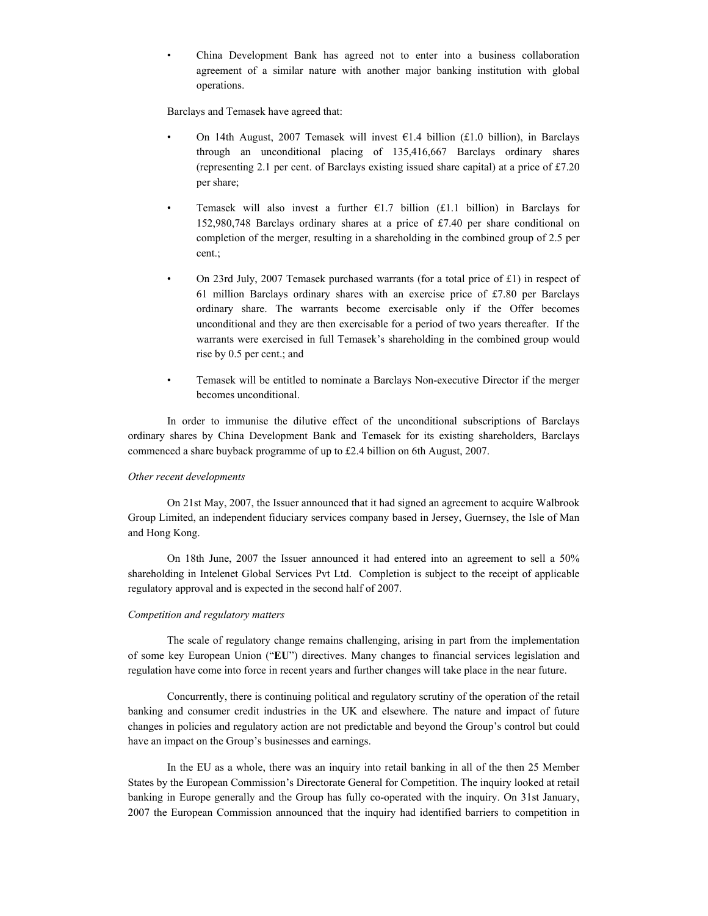• China Development Bank has agreed not to enter into a business collaboration agreement of a similar nature with another major banking institution with global operations.

Barclays and Temasek have agreed that:

- On 14th August, 2007 Temasek will invest  $\epsilon$ 1.4 billion (£1.0 billion), in Barclays through an unconditional placing of 135,416,667 Barclays ordinary shares (representing 2.1 per cent. of Barclays existing issued share capital) at a price of £7.20 per share;
- Temasek will also invest a further  $E1.7$  billion (£1.1 billion) in Barclays for 152,980,748 Barclays ordinary shares at a price of £7.40 per share conditional on completion of the merger, resulting in a shareholding in the combined group of 2.5 per cent.;
- On 23rd July, 2007 Temasek purchased warrants (for a total price of £1) in respect of 61 million Barclays ordinary shares with an exercise price of  $£7.80$  per Barclays ordinary share. The warrants become exercisable only if the Offer becomes unconditional and they are then exercisable for a period of two years thereafter. If the warrants were exercised in full Temasek's shareholding in the combined group would rise by 0.5 per cent.; and
- Temasek will be entitled to nominate a Barclays Non-executive Director if the merger becomes unconditional.

In order to immunise the dilutive effect of the unconditional subscriptions of Barclays ordinary shares by China Development Bank and Temasek for its existing shareholders, Barclays commenced a share buyback programme of up to £2.4 billion on 6th August, 2007.

### Other recent developments

On 21st May, 2007, the Issuer announced that it had signed an agreement to acquire Walbrook Group Limited, an independent fiduciary services company based in Jersey, Guernsey, the Isle of Man and Hong Kong.

On 18th June, 2007 the Issuer announced it had entered into an agreement to sell a 50% shareholding in Intelenet Global Services Pvt Ltd. Completion is subject to the receipt of applicable regulatory approval and is expected in the second half of 2007.

#### Competition and regulatory matters

The scale of regulatory change remains challenging, arising in part from the implementation of some key European Union ("EU") directives. Many changes to financial services legislation and regulation have come into force in recent years and further changes will take place in the near future.

Concurrently, there is continuing political and regulatory scrutiny of the operation of the retail banking and consumer credit industries in the UK and elsewhere. The nature and impact of future changes in policies and regulatory action are not predictable and beyond the Group's control but could have an impact on the Group's businesses and earnings.

In the EU as a whole, there was an inquiry into retail banking in all of the then 25 Member States by the European Commission's Directorate General for Competition. The inquiry looked at retail banking in Europe generally and the Group has fully co-operated with the inquiry. On 31st January, 2007 the European Commission announced that the inquiry had identified barriers to competition in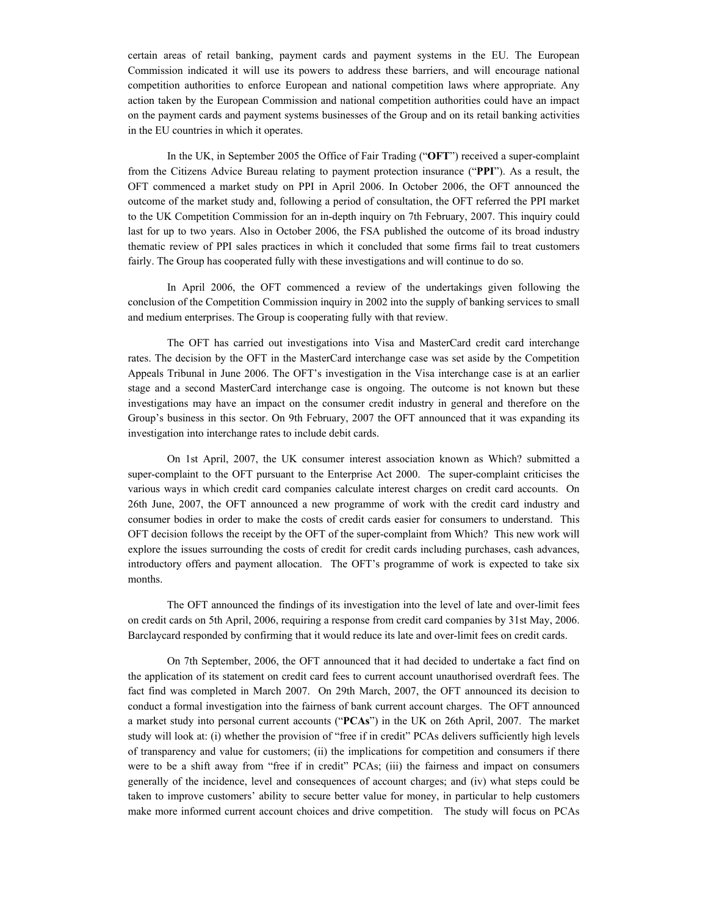certain areas of retail banking, payment cards and payment systems in the EU. The European Commission indicated it will use its powers to address these barriers, and will encourage national competition authorities to enforce European and national competition laws where appropriate. Any action taken by the European Commission and national competition authorities could have an impact on the payment cards and payment systems businesses of the Group and on its retail banking activities in the EU countries in which it operates.

In the UK, in September 2005 the Office of Fair Trading ("OFT") received a super-complaint from the Citizens Advice Bureau relating to payment protection insurance ("PPI"). As a result, the OFT commenced a market study on PPI in April 2006. In October 2006, the OFT announced the outcome of the market study and, following a period of consultation, the OFT referred the PPI market to the UK Competition Commission for an in-depth inquiry on 7th February, 2007. This inquiry could last for up to two years. Also in October 2006, the FSA published the outcome of its broad industry thematic review of PPI sales practices in which it concluded that some firms fail to treat customers fairly. The Group has cooperated fully with these investigations and will continue to do so.

In April 2006, the OFT commenced a review of the undertakings given following the conclusion of the Competition Commission inquiry in 2002 into the supply of banking services to small and medium enterprises. The Group is cooperating fully with that review.

The OFT has carried out investigations into Visa and MasterCard credit card interchange rates. The decision by the OFT in the MasterCard interchange case was set aside by the Competition Appeals Tribunal in June 2006. The OFT's investigation in the Visa interchange case is at an earlier stage and a second MasterCard interchange case is ongoing. The outcome is not known but these investigations may have an impact on the consumer credit industry in general and therefore on the Group's business in this sector. On 9th February, 2007 the OFT announced that it was expanding its investigation into interchange rates to include debit cards.

On 1st April, 2007, the UK consumer interest association known as Which? submitted a super-complaint to the OFT pursuant to the Enterprise Act 2000. The super-complaint criticises the various ways in which credit card companies calculate interest charges on credit card accounts. On 26th June, 2007, the OFT announced a new programme of work with the credit card industry and consumer bodies in order to make the costs of credit cards easier for consumers to understand. This OFT decision follows the receipt by the OFT of the super-complaint from Which? This new work will explore the issues surrounding the costs of credit for credit cards including purchases, cash advances, introductory offers and payment allocation. The OFT's programme of work is expected to take six months.

The OFT announced the findings of its investigation into the level of late and over-limit fees on credit cards on 5th April, 2006, requiring a response from credit card companies by 31st May, 2006. Barclaycard responded by confirming that it would reduce its late and over-limit fees on credit cards.

On 7th September, 2006, the OFT announced that it had decided to undertake a fact find on the application of its statement on credit card fees to current account unauthorised overdraft fees. The fact find was completed in March 2007. On 29th March, 2007, the OFT announced its decision to conduct a formal investigation into the fairness of bank current account charges. The OFT announced a market study into personal current accounts ("PCAs") in the UK on 26th April, 2007. The market study will look at: (i) whether the provision of "free if in credit" PCAs delivers sufficiently high levels of transparency and value for customers; (ii) the implications for competition and consumers if there were to be a shift away from "free if in credit" PCAs; (iii) the fairness and impact on consumers generally of the incidence, level and consequences of account charges; and (iv) what steps could be taken to improve customers' ability to secure better value for money, in particular to help customers make more informed current account choices and drive competition. The study will focus on PCAs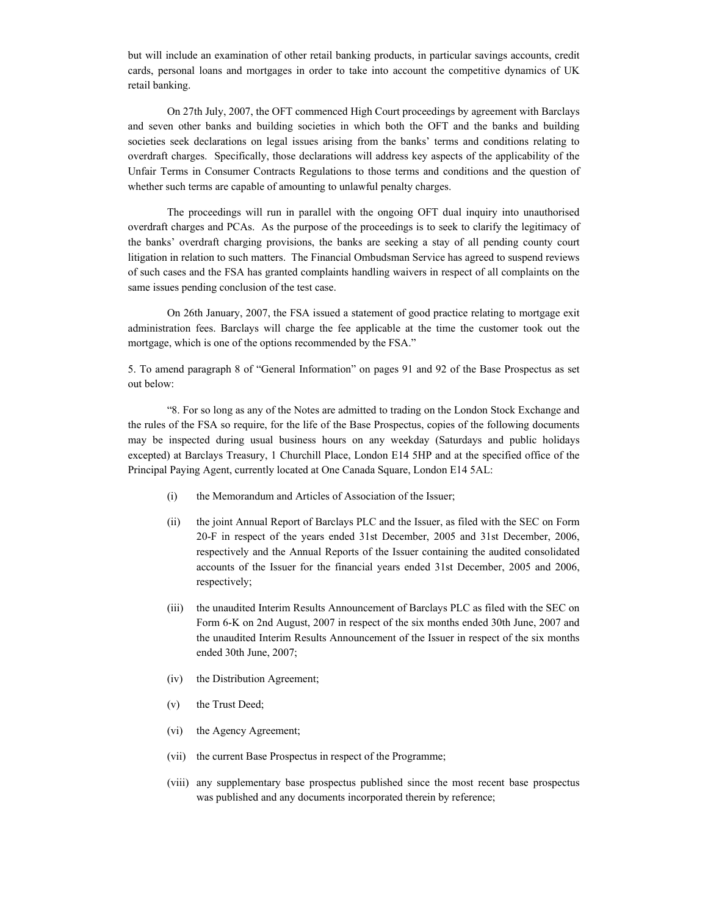but will include an examination of other retail banking products, in particular savings accounts, credit cards, personal loans and mortgages in order to take into account the competitive dynamics of UK retail banking.

On 27th July, 2007, the OFT commenced High Court proceedings by agreement with Barclays and seven other banks and building societies in which both the OFT and the banks and building societies seek declarations on legal issues arising from the banks' terms and conditions relating to overdraft charges. Specifically, those declarations will address key aspects of the applicability of the Unfair Terms in Consumer Contracts Regulations to those terms and conditions and the question of whether such terms are capable of amounting to unlawful penalty charges.

The proceedings will run in parallel with the ongoing OFT dual inquiry into unauthorised overdraft charges and PCAs. As the purpose of the proceedings is to seek to clarify the legitimacy of the banks' overdraft charging provisions, the banks are seeking a stay of all pending county court litigation in relation to such matters. The Financial Ombudsman Service has agreed to suspend reviews of such cases and the FSA has granted complaints handling waivers in respect of all complaints on the same issues pending conclusion of the test case.

On 26th January, 2007, the FSA issued a statement of good practice relating to mortgage exit administration fees. Barclays will charge the fee applicable at the time the customer took out the mortgage, which is one of the options recommended by the FSA."

5. To amend paragraph 8 of "General Information" on pages 91 and 92 of the Base Prospectus as set out below:

"8. For so long as any of the Notes are admitted to trading on the London Stock Exchange and the rules of the FSA so require, for the life of the Base Prospectus, copies of the following documents may be inspected during usual business hours on any weekday (Saturdays and public holidays excepted) at Barclays Treasury, 1 Churchill Place, London E14 5HP and at the specified office of the Principal Paying Agent, currently located at One Canada Square, London E14 5AL:

- (i) the Memorandum and Articles of Association of the Issuer;
- (ii) the joint Annual Report of Barclays PLC and the Issuer, as filed with the SEC on Form 20-F in respect of the years ended 31st December, 2005 and 31st December, 2006, respectively and the Annual Reports of the Issuer containing the audited consolidated accounts of the Issuer for the financial years ended 31st December, 2005 and 2006, respectively;
- (iii) the unaudited Interim Results Announcement of Barclays PLC as filed with the SEC on Form 6-K on 2nd August, 2007 in respect of the six months ended 30th June, 2007 and the unaudited Interim Results Announcement of the Issuer in respect of the six months ended 30th June, 2007;
- (iv) the Distribution Agreement;
- (v) the Trust Deed;
- (vi) the Agency Agreement;
- (vii) the current Base Prospectus in respect of the Programme;
- (viii) any supplementary base prospectus published since the most recent base prospectus was published and any documents incorporated therein by reference;